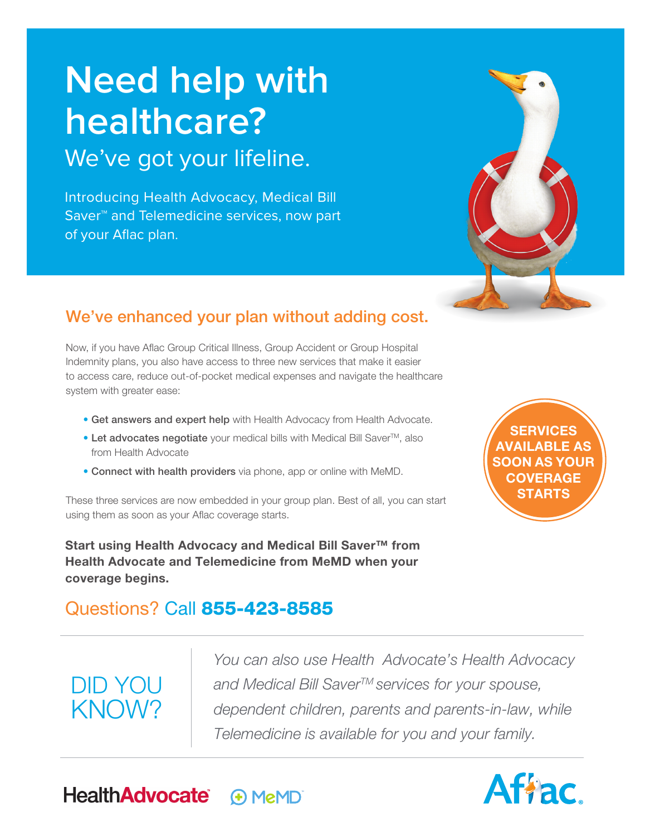# **Need help with healthcare?** We've got your lifeline.

Introducing Health Advocacy, Medical Bill Saver™ and Telemedicine services, now part of your Aflac plan.



# We've enhanced your plan without adding cost.

Now, if you have Aflac Group Critical Illness, Group Accident or Group Hospital Indemnity plans, you also have access to three new services that make it easier to access care, reduce out-of-pocket medical expenses and navigate the healthcare system with greater ease:

- **•** Get answers and expert help with Health Advocacy from Health Advocate.
- Let advocates negotiate your medical bills with Medical Bill Saver<sup>™</sup>, also from Health Advocate
- **•** Connect with health providers via phone, app or online with MeMD.

These three services are now embedded in your group plan. Best of all, you can start using them as soon as your Aflac coverage starts.

**Start using Health Advocacy and Medical Bill Saver™ from Health Advocate and Telemedicine from MeMD when your coverage begins.**

# Questions? Call 855-423-8585

# DID YOU KNOW?

*You can also use Health Advocate's Health Advocacy and Medical Bill SaverTM services for your spouse, dependent children, parents and parents-in-law, while Telemedicine is available for you and your family.*

**SERVICES AVAILABLE AS SOON AS YOUR COVERAGE STARTS** 



**HealthAdvocate® A** MeMD